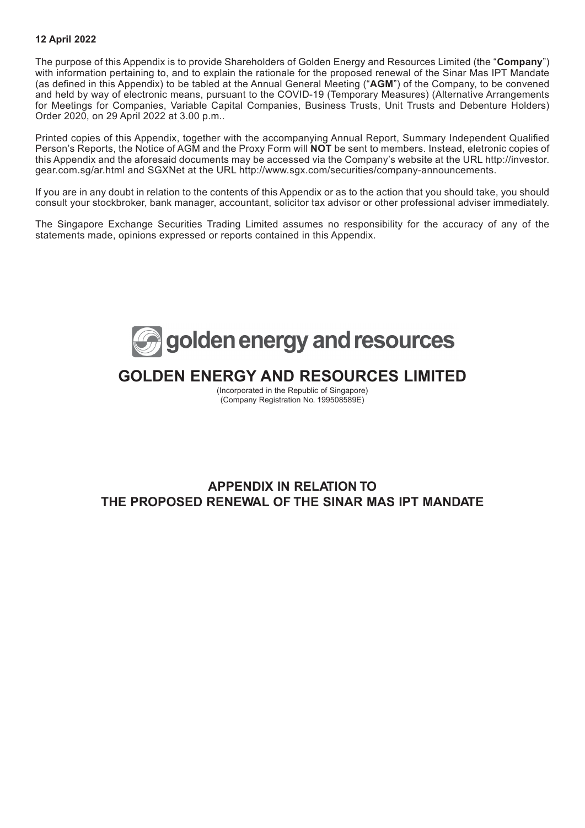#### **12 April 2022**

The purpose of this Appendix is to provide Shareholders of Golden Energy and Resources Limited (the "**Company**") with information pertaining to, and to explain the rationale for the proposed renewal of the Sinar Mas IPT Mandate (as defined in this Appendix) to be tabled at the Annual General Meeting ("**AGM**") of the Company, to be convened and held by way of electronic means, pursuant to the COVID-19 (Temporary Measures) (Alternative Arrangements for Meetings for Companies, Variable Capital Companies, Business Trusts, Unit Trusts and Debenture Holders) Order 2020, on 29 April 2022 at 3.00 p.m..

Printed copies of this Appendix, together with the accompanying Annual Report, Summary Independent Qualified Person's Reports, the Notice of AGM and the Proxy Form will **NOT** be sent to members. Instead, eletronic copies of this Appendix and the aforesaid documents may be accessed via the Company's website at the URL http://investor. gear.com.sg/ar.html and SGXNet at the URL http://www.sgx.com/securities/company-announcements.

If you are in any doubt in relation to the contents of this Appendix or as to the action that you should take, you should consult your stockbroker, bank manager, accountant, solicitor tax advisor or other professional adviser immediately.

The Singapore Exchange Securities Trading Limited assumes no responsibility for the accuracy of any of the statements made, opinions expressed or reports contained in this Appendix.



# **GOLDEN ENERGY AND RESOURCES LIMITED**

(Incorporated in the Republic of Singapore) (Company Registration No. 199508589E)

### **APPENDIX IN RELATION TO THE PROPOSED RENEWAL OF THE SINAR MAS IPT MANDATE**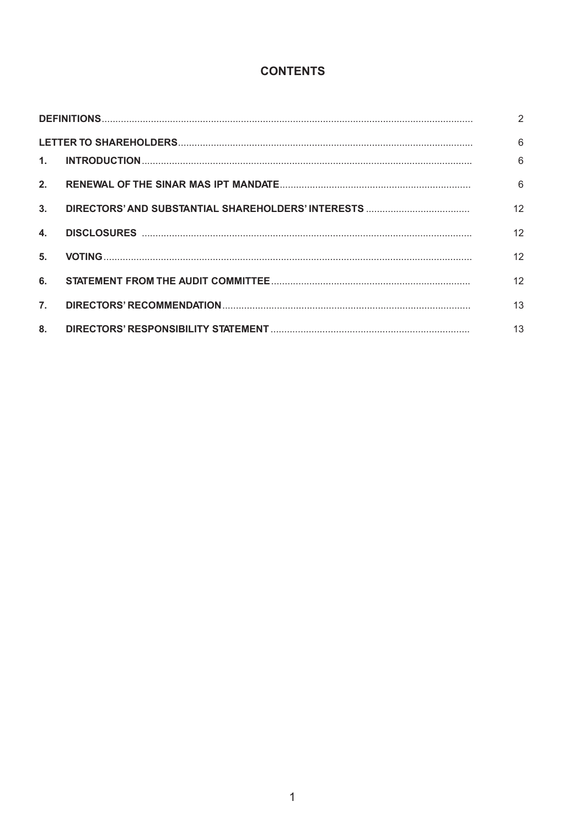### **CONTENTS**

|                | 2  |
|----------------|----|
|                | 6  |
| 1 <sup>1</sup> | 6  |
| 2.             | 6  |
| 3.             | 12 |
| $\mathbf{4}$ . | 12 |
| 5.             | 12 |
| 6.             | 12 |
| 7.             | 13 |
| 8.             | 13 |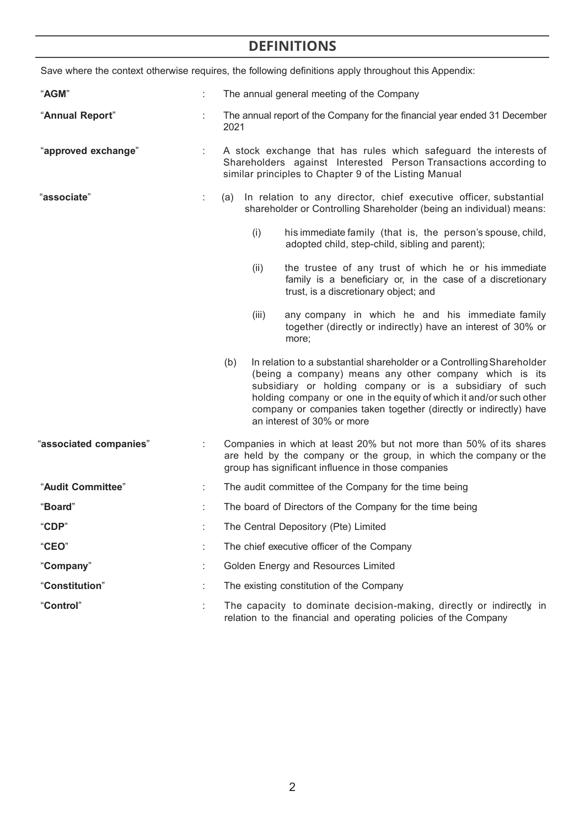# **DEFINITIONS**

|                        |   |                                                                                                                                                                                               |                                            | Save where the context otherwise requires, the following definitions apply throughout this Appendix:                                                                                                                                                                                                                                                                 |  |  |
|------------------------|---|-----------------------------------------------------------------------------------------------------------------------------------------------------------------------------------------------|--------------------------------------------|----------------------------------------------------------------------------------------------------------------------------------------------------------------------------------------------------------------------------------------------------------------------------------------------------------------------------------------------------------------------|--|--|
| "AGM"                  | ÷ |                                                                                                                                                                                               | The annual general meeting of the Company  |                                                                                                                                                                                                                                                                                                                                                                      |  |  |
| "Annual Report"        |   | The annual report of the Company for the financial year ended 31 December<br>2021                                                                                                             |                                            |                                                                                                                                                                                                                                                                                                                                                                      |  |  |
| "approved exchange"    |   | A stock exchange that has rules which safeguard the interests of<br>Shareholders against Interested Person Transactions according to<br>similar principles to Chapter 9 of the Listing Manual |                                            |                                                                                                                                                                                                                                                                                                                                                                      |  |  |
| "associate"            | ÷ | In relation to any director, chief executive officer, substantial<br>(a)<br>shareholder or Controlling Shareholder (being an individual) means:                                               |                                            |                                                                                                                                                                                                                                                                                                                                                                      |  |  |
|                        |   |                                                                                                                                                                                               | (i)                                        | his immediate family (that is, the person's spouse, child,<br>adopted child, step-child, sibling and parent);                                                                                                                                                                                                                                                        |  |  |
|                        |   |                                                                                                                                                                                               | (ii)                                       | the trustee of any trust of which he or his immediate<br>family is a beneficiary or, in the case of a discretionary<br>trust, is a discretionary object; and                                                                                                                                                                                                         |  |  |
|                        |   |                                                                                                                                                                                               | (iii)                                      | any company in which he and his immediate family<br>together (directly or indirectly) have an interest of 30% or<br>more;                                                                                                                                                                                                                                            |  |  |
|                        |   | (b)                                                                                                                                                                                           |                                            | In relation to a substantial shareholder or a Controlling Shareholder<br>(being a company) means any other company which is its<br>subsidiary or holding company or is a subsidiary of such<br>holding company or one in the equity of which it and/or such other<br>company or companies taken together (directly or indirectly) have<br>an interest of 30% or more |  |  |
| "associated companies" |   | group has significant influence in those companies                                                                                                                                            |                                            | Companies in which at least 20% but not more than 50% of its shares<br>are held by the company or the group, in which the company or the                                                                                                                                                                                                                             |  |  |
| "Audit Committee"      | ÷ | The audit committee of the Company for the time being                                                                                                                                         |                                            |                                                                                                                                                                                                                                                                                                                                                                      |  |  |
| <b>Board</b>           | t | The board of Directors of the Company for the time being                                                                                                                                      |                                            |                                                                                                                                                                                                                                                                                                                                                                      |  |  |
| "CDP"                  |   | The Central Depository (Pte) Limited                                                                                                                                                          |                                            |                                                                                                                                                                                                                                                                                                                                                                      |  |  |
| "CEO"                  |   |                                                                                                                                                                                               | The chief executive officer of the Company |                                                                                                                                                                                                                                                                                                                                                                      |  |  |
| "Company"<br>÷         |   |                                                                                                                                                                                               |                                            | Golden Energy and Resources Limited                                                                                                                                                                                                                                                                                                                                  |  |  |
| "Constitution"         |   |                                                                                                                                                                                               |                                            | The existing constitution of the Company                                                                                                                                                                                                                                                                                                                             |  |  |
| "Control"              |   |                                                                                                                                                                                               |                                            | The capacity to dominate decision-making, directly or indirectly in<br>relation to the financial and operating policies of the Company                                                                                                                                                                                                                               |  |  |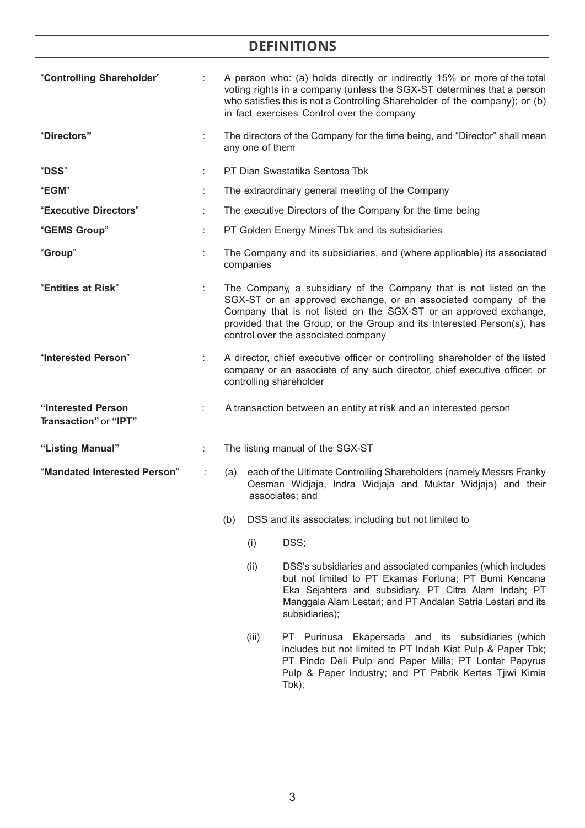## **DEFINITIONS**

| "Controlling Shareholder"                   |    | A person who: (a) holds directly or indirectly 15% or more of the total<br>voting rights in a company (unless the SGX-ST determines that a person<br>who satisfies this is not a Controlling Shareholder of the company); or (b)<br>in fact exercises Control over the company                                               |
|---------------------------------------------|----|------------------------------------------------------------------------------------------------------------------------------------------------------------------------------------------------------------------------------------------------------------------------------------------------------------------------------|
| "Directors"                                 | ÷. | The directors of the Company for the time being, and "Director" shall mean<br>any one of them                                                                                                                                                                                                                                |
| "DSS"                                       |    | PT Dian Swastatika Sentosa Tbk                                                                                                                                                                                                                                                                                               |
| "EGM"                                       |    | The extraordinary general meeting of the Company                                                                                                                                                                                                                                                                             |
| "Executive Directors"                       |    | The executive Directors of the Company for the time being                                                                                                                                                                                                                                                                    |
| "GEMS Group"                                |    | PT Golden Energy Mines Tbk and its subsidiaries                                                                                                                                                                                                                                                                              |
| "Group"                                     |    | The Company and its subsidiaries, and (where applicable) its associated<br>companies                                                                                                                                                                                                                                         |
| "Entities at Risk"                          |    | The Company, a subsidiary of the Company that is not listed on the<br>SGX-ST or an approved exchange, or an associated company of the<br>Company that is not listed on the SGX-ST or an approved exchange,<br>provided that the Group, or the Group and its Interested Person(s), has<br>control over the associated company |
| "Interested Person"                         |    | A director, chief executive officer or controlling shareholder of the listed<br>company or an associate of any such director, chief executive officer, or<br>controlling shareholder                                                                                                                                         |
| "Interested Person<br>Transaction" or "IPT" |    | A transaction between an entity at risk and an interested person                                                                                                                                                                                                                                                             |
| "Listing Manual"                            | ÷  | The listing manual of the SGX-ST                                                                                                                                                                                                                                                                                             |
| "Mandated Interested Person"                |    | each of the Ultimate Controlling Shareholders (namely Messrs Franky<br>(a)<br>Oesman Widjaja, Indra Widjaja and Muktar Widjaja) and their<br>associates; and                                                                                                                                                                 |
|                                             |    | DSS and its associates; including but not limited to<br>(b)                                                                                                                                                                                                                                                                  |
|                                             |    | DSS;<br>(i)                                                                                                                                                                                                                                                                                                                  |
|                                             |    | (ii)<br>DSS's subsidiaries and associated companies (which includes<br>but not limited to PT Ekamas Fortuna; PT Bumi Kencana<br>Eka Sejahtera and subsidiary, PT Citra Alam Indah; PT<br>Manggala Alam Lestari; and PT Andalan Satria Lestari and its<br>subsidiaries);                                                      |

(iii) PT Purinusa Ekapersada and its subsidiaries (which includes but not limited to PT Indah Kiat Pulp & Paper Tbk; PT Pindo Deli Pulp and Paper Mills; PT Lontar Papyrus Pulp & Paper Industry; and PT Pabrik Kertas Tjiwi Kimia Tbk);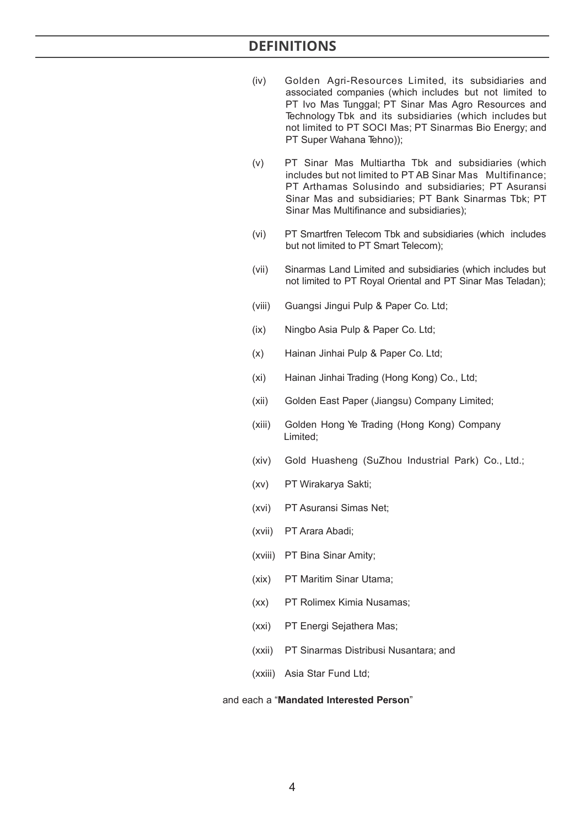- (iv) Golden Agri-Resources Limited, its subsidiaries and associated companies (which includes but not limited to PT Ivo Mas Tunggal; PT Sinar Mas Agro Resources and Technology Tbk and its subsidiaries (which includes but not limited to PT SOCI Mas; PT Sinarmas Bio Energy; and PT Super Wahana Tehno));
- (v) PT Sinar Mas Multiartha Tbk and subsidiaries (which includes but not limited to PT AB Sinar Mas Multifinance; PT Arthamas Solusindo and subsidiaries; PT Asuransi Sinar Mas and subsidiaries; PT Bank Sinarmas Tbk; PT Sinar Mas Multifinance and subsidiaries);
- (vi) PT Smartfren Telecom Tbk and subsidiaries (which includes but not limited to PT Smart Telecom);
- (vii) Sinarmas Land Limited and subsidiaries (which includes but not limited to PT Royal Oriental and PT Sinar Mas Teladan);
- (viii) Guangsi Jingui Pulp & Paper Co. Ltd;
- (ix) Ningbo Asia Pulp & Paper Co. Ltd;
- (x) Hainan Jinhai Pulp & Paper Co. Ltd;
- (xi) Hainan Jinhai Trading (Hong Kong) Co., Ltd;
- (xii) Golden East Paper (Jiangsu) Company Limited;
- (xiii) Golden Hong Ye Trading (Hong Kong) Company Limited;
- (xiv) Gold Huasheng (SuZhou Industrial Park) Co., Ltd.;
- (xv) PT Wirakarya Sakti;
- (xvi) PT Asuransi Simas Net;
- (xvii) PT Arara Abadi;
- (xviii) PT Bina Sinar Amity;
- (xix) PT Maritim Sinar Utama;
- (xx) PT Rolimex Kimia Nusamas;
- (xxi) PT Energi Sejathera Mas;
- (xxii) PT Sinarmas Distribusi Nusantara; and
- (xxiii) Asia Star Fund Ltd;

#### and each a "**Mandated Interested Person**"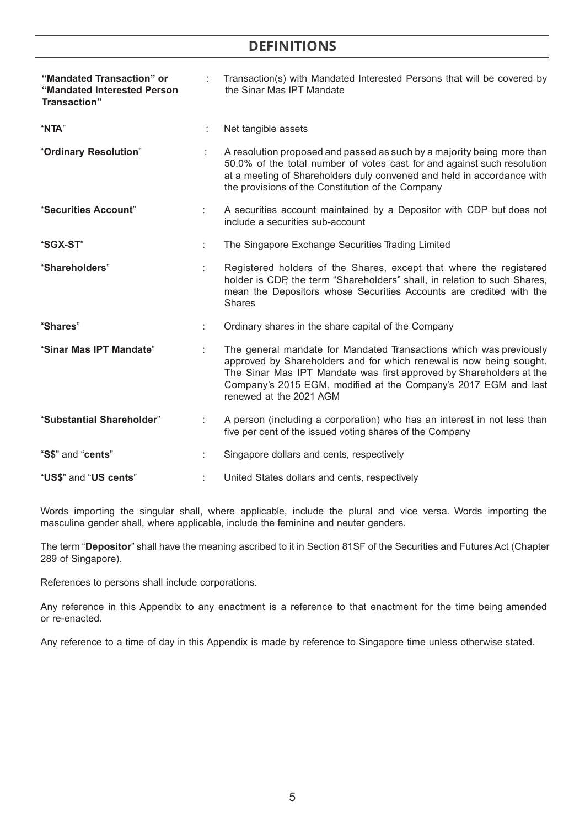### **DEFINITIONS**

| "Mandated Transaction" or<br>"Mandated Interested Person<br>Transaction" |  | Transaction(s) with Mandated Interested Persons that will be covered by<br>the Sinar Mas IPT Mandate                                                                                                                                                                                                           |
|--------------------------------------------------------------------------|--|----------------------------------------------------------------------------------------------------------------------------------------------------------------------------------------------------------------------------------------------------------------------------------------------------------------|
| "NTA"                                                                    |  | Net tangible assets                                                                                                                                                                                                                                                                                            |
| "Ordinary Resolution"                                                    |  | A resolution proposed and passed as such by a majority being more than<br>50.0% of the total number of votes cast for and against such resolution<br>at a meeting of Shareholders duly convened and held in accordance with<br>the provisions of the Constitution of the Company                               |
| "Securities Account"                                                     |  | A securities account maintained by a Depositor with CDP but does not<br>include a securities sub-account                                                                                                                                                                                                       |
| "SGX-ST"                                                                 |  | The Singapore Exchange Securities Trading Limited                                                                                                                                                                                                                                                              |
| "Shareholders"                                                           |  | Registered holders of the Shares, except that where the registered<br>holder is CDP, the term "Shareholders" shall, in relation to such Shares,<br>mean the Depositors whose Securities Accounts are credited with the<br><b>Shares</b>                                                                        |
| "Shares"                                                                 |  | Ordinary shares in the share capital of the Company                                                                                                                                                                                                                                                            |
| "Sinar Mas IPT Mandate"                                                  |  | The general mandate for Mandated Transactions which was previously<br>approved by Shareholders and for which renewal is now being sought.<br>The Sinar Mas IPT Mandate was first approved by Shareholders at the<br>Company's 2015 EGM, modified at the Company's 2017 EGM and last<br>renewed at the 2021 AGM |
| "Substantial Shareholder"                                                |  | A person (including a corporation) who has an interest in not less than<br>five per cent of the issued voting shares of the Company                                                                                                                                                                            |
| "S\$" and "cents"                                                        |  | Singapore dollars and cents, respectively                                                                                                                                                                                                                                                                      |
| "US\$" and "US cents"                                                    |  | United States dollars and cents, respectively                                                                                                                                                                                                                                                                  |

Words importing the singular shall, where applicable, include the plural and vice versa. Words importing the masculine gender shall, where applicable, include the feminine and neuter genders.

The term "**Depositor**" shall have the meaning ascribed to it in Section 81SF of the Securities and Futures Act (Chapter 289 of Singapore).

References to persons shall include corporations.

Any reference in this Appendix to any enactment is a reference to that enactment for the time being amended or re-enacted.

Any reference to a time of day in this Appendix is made by reference to Singapore time unless otherwise stated.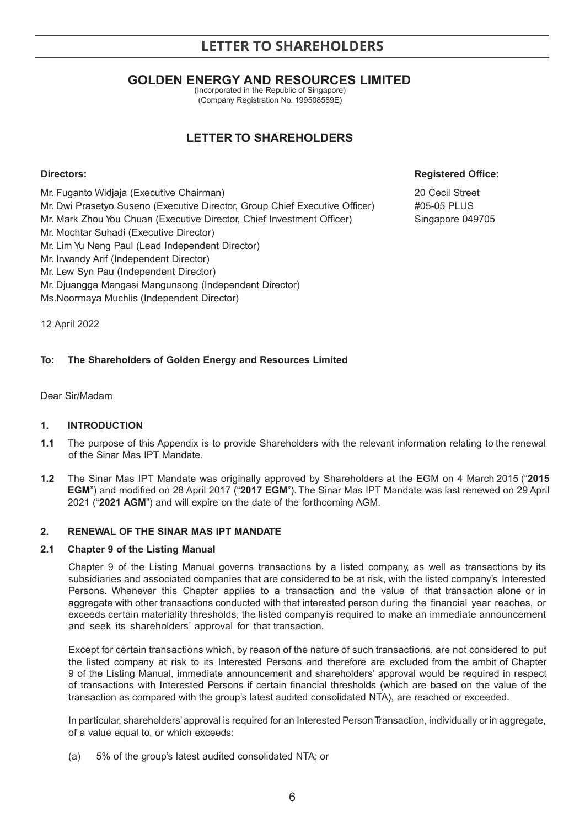### **GOLDEN ENERGY AND RESOURCES LIMITED**

(Incorporated in the Republic of Singapore) (Company Registration No. 199508589E)

### **LETTER TO SHAREHOLDERS**

Mr. Fuganto Widjaja (Executive Chairman) 20 Cecil Street Mr. Dwi Prasetyo Suseno (Executive Director, Group Chief Executive Officer) #05-05 PLUS Mr. Mark Zhou You Chuan (Executive Director, Chief Investment Officer) Singapore 049705 Mr. Mochtar Suhadi (Executive Director) Mr. Lim Yu Neng Paul (Lead Independent Director) Mr. Irwandy Arif (Independent Director) Mr. Lew Syn Pau (Independent Director) Mr. Djuangga Mangasi Mangunsong (Independent Director) Ms.Noormaya Muchlis (Independent Director)

### **Directors: Registered Office:** *Registered Office:*

12 April 2022

### **To: The Shareholders of Golden Energy and Resources Limited**

Dear Sir/Madam

### **1. INTRODUCTION**

- **1.1** The purpose of this Appendix is to provide Shareholders with the relevant information relating to the renewal of the Sinar Mas IPT Mandate.
- **1.2** The Sinar Mas IPT Mandate was originally approved by Shareholders at the EGM on 4 March 2015 ("**2015 EGM**") and modified on 28 April 2017 ("**2017 EGM**"). The Sinar Mas IPT Mandate was last renewed on 29 April 2021 ("**2021 AGM**") and will expire on the date of the forthcoming AGM.

### **2. RENEWAL OF THE SINAR MAS IPT MANDATE**

### **2.1 Chapter 9 of the Listing Manual**

Chapter 9 of the Listing Manual governs transactions by a listed company, as well as transactions by its subsidiaries and associated companies that are considered to be at risk, with the listed company's Interested Persons. Whenever this Chapter applies to a transaction and the value of that transaction alone or in aggregate with other transactions conducted with that interested person during the financial year reaches, or exceeds certain materiality thresholds, the listed company is required to make an immediate announcement and seek its shareholders' approval for that transaction.

Except for certain transactions which, by reason of the nature of such transactions, are not considered to put the listed company at risk to its Interested Persons and therefore are excluded from the ambit of Chapter 9 of the Listing Manual, immediate announcement and shareholders' approval would be required in respect of transactions with Interested Persons if certain financial thresholds (which are based on the value of the transaction as compared with the group's latest audited consolidated NTA), are reached or exceeded.

In particular, shareholders' approval is required for an Interested Person Transaction, individually or in aggregate, of a value equal to, or which exceeds:

(a) 5% of the group's latest audited consolidated NTA; or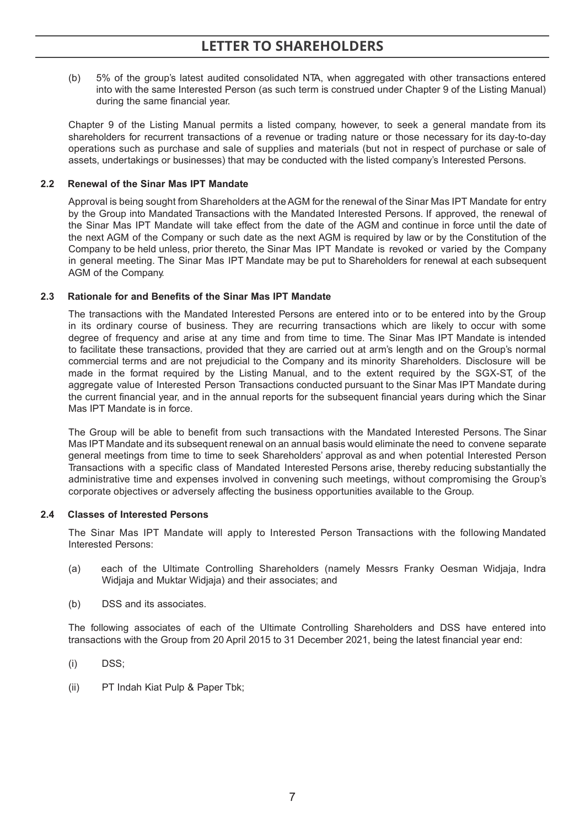(b) 5% of the group's latest audited consolidated NTA, when aggregated with other transactions entered into with the same Interested Person (as such term is construed under Chapter 9 of the Listing Manual) during the same financial year.

Chapter 9 of the Listing Manual permits a listed company, however, to seek a general mandate from its shareholders for recurrent transactions of a revenue or trading nature or those necessary for its day-to-day operations such as purchase and sale of supplies and materials (but not in respect of purchase or sale of assets, undertakings or businesses) that may be conducted with the listed company's Interested Persons.

### **2.2 Renewal of the Sinar Mas IPT Mandate**

Approval is being sought from Shareholders at the AGM for the renewal of the Sinar Mas IPT Mandate for entry by the Group into Mandated Transactions with the Mandated Interested Persons. If approved, the renewal of the Sinar Mas IPT Mandate will take effect from the date of the AGM and continue in force until the date of the next AGM of the Company or such date as the next AGM is required by law or by the Constitution of the Company to be held unless, prior thereto, the Sinar Mas IPT Mandate is revoked or varied by the Company in general meeting. The Sinar Mas IPT Mandate may be put to Shareholders for renewal at each subsequent AGM of the Company.

### **2.3 Rationale for and Benefits of the Sinar Mas IPT Mandate**

The transactions with the Mandated Interested Persons are entered into or to be entered into by the Group in its ordinary course of business. They are recurring transactions which are likely to occur with some degree of frequency and arise at any time and from time to time. The Sinar Mas IPT Mandate is intended to facilitate these transactions, provided that they are carried out at arm's length and on the Group's normal commercial terms and are not prejudicial to the Company and its minority Shareholders. Disclosure will be made in the format required by the Listing Manual, and to the extent required by the SGX-ST, of the aggregate value of Interested Person Transactions conducted pursuant to the Sinar Mas IPT Mandate during the current financial year, and in the annual reports for the subsequent financial years during which the Sinar Mas IPT Mandate is in force.

The Group will be able to benefit from such transactions with the Mandated Interested Persons. The Sinar Mas IPT Mandate and its subsequent renewal on an annual basis would eliminate the need to convene separate general meetings from time to time to seek Shareholders' approval as and when potential Interested Person Transactions with a specific class of Mandated Interested Persons arise, thereby reducing substantially the administrative time and expenses involved in convening such meetings, without compromising the Group's corporate objectives or adversely affecting the business opportunities available to the Group.

### **2.4 Classes of Interested Persons**

The Sinar Mas IPT Mandate will apply to Interested Person Transactions with the following Mandated Interested Persons:

- (a) each of the Ultimate Controlling Shareholders (namely Messrs Franky Oesman Widjaja, Indra Widjaja and Muktar Widjaja) and their associates; and
- (b) DSS and its associates.

The following associates of each of the Ultimate Controlling Shareholders and DSS have entered into transactions with the Group from 20 April 2015 to 31 December 2021, being the latest financial year end:

- (i) DSS;
- (ii) PT Indah Kiat Pulp & Paper Tbk;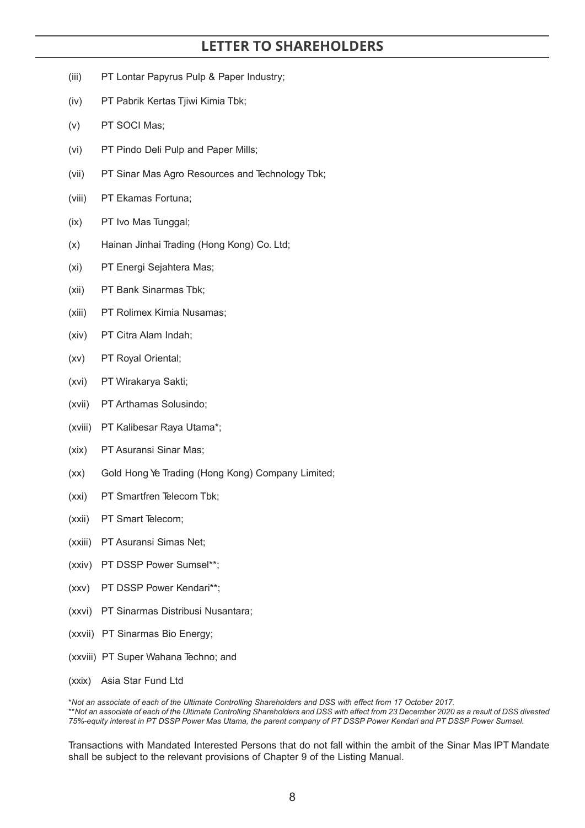- (iii) PT Lontar Papyrus Pulp & Paper Industry;
- (iv) PT Pabrik Kertas Tjiwi Kimia Tbk;
- (v) PT SOCI Mas;
- (vi) PT Pindo Deli Pulp and Paper Mills;
- (vii) PT Sinar Mas Agro Resources and Technology Tbk;
- (viii) PT Ekamas Fortuna;
- (ix) PT Ivo Mas Tunggal;
- (x) Hainan Jinhai Trading (Hong Kong) Co. Ltd;
- (xi) PT Energi Sejahtera Mas;
- (xii) PT Bank Sinarmas Tbk;
- (xiii) PT Rolimex Kimia Nusamas;
- (xiv) PT Citra Alam Indah;
- (xv) PT Royal Oriental;
- (xvi) PT Wirakarya Sakti;
- (xvii) PT Arthamas Solusindo;
- (xviii) PT Kalibesar Raya Utama\*;
- (xix) PT Asuransi Sinar Mas;
- (xx) Gold Hong Ye Trading (Hong Kong) Company Limited;
- (xxi) PT Smartfren Telecom Tbk;
- (xxii) PT Smart Telecom;
- (xxiii) PT Asuransi Simas Net;
- (xxiv) PT DSSP Power Sumsel\*\*;
- (xxv) PT DSSP Power Kendari\*\*;
- (xxvi) PT Sinarmas Distribusi Nusantara;
- (xxvii) PT Sinarmas Bio Energy;
- (xxviii) PT Super Wahana Techno; and
- (xxix) Asia Star Fund Ltd

\**Not an associate of each of the Ultimate Controlling Shareholders and DSS with effect from 17 October 2017.* \*\**Not an associate of each of the Ultimate Controlling Shareholders and DSS with effect from 23 December 2020 as a result of DSS divested 75%-equity interest in PT DSSP Power Mas Utama, the parent company of PT DSSP Power Kendari and PT DSSP Power Sumsel.*

Transactions with Mandated Interested Persons that do not fall within the ambit of the Sinar Mas IPT Mandate shall be subject to the relevant provisions of Chapter 9 of the Listing Manual.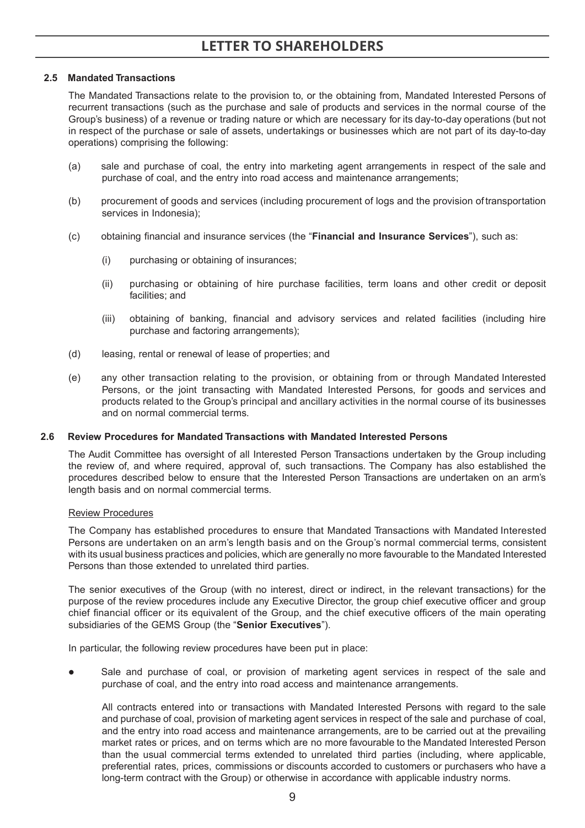### **2.5 Mandated Transactions**

The Mandated Transactions relate to the provision to, or the obtaining from, Mandated Interested Persons of recurrent transactions (such as the purchase and sale of products and services in the normal course of the Group's business) of a revenue or trading nature or which are necessary for its day-to-day operations (but not in respect of the purchase or sale of assets, undertakings or businesses which are not part of its day-to-day operations) comprising the following:

- (a) sale and purchase of coal, the entry into marketing agent arrangements in respect of the sale and purchase of coal, and the entry into road access and maintenance arrangements;
- (b) procurement of goods and services (including procurement of logs and the provision of transportation services in Indonesia);
- (c) obtaining financial and insurance services (the "**Financial and Insurance Services**"), such as:
	- (i) purchasing or obtaining of insurances;
	- (ii) purchasing or obtaining of hire purchase facilities, term loans and other credit or deposit facilities; and
	- (iii) obtaining of banking, financial and advisory services and related facilities (including hire purchase and factoring arrangements);
- (d) leasing, rental or renewal of lease of properties; and
- (e) any other transaction relating to the provision, or obtaining from or through Mandated Interested Persons, or the joint transacting with Mandated Interested Persons, for goods and services and products related to the Group's principal and ancillary activities in the normal course of its businesses and on normal commercial terms.

### **2.6 Review Procedures for Mandated Transactions with Mandated Interested Persons**

The Audit Committee has oversight of all Interested Person Transactions undertaken by the Group including the review of, and where required, approval of, such transactions. The Company has also established the procedures described below to ensure that the Interested Person Transactions are undertaken on an arm's length basis and on normal commercial terms.

#### Review Procedures

The Company has established procedures to ensure that Mandated Transactions with Mandated Interested Persons are undertaken on an arm's length basis and on the Group's normal commercial terms, consistent with its usual business practices and policies, which are generally no more favourable to the Mandated Interested Persons than those extended to unrelated third parties.

The senior executives of the Group (with no interest, direct or indirect, in the relevant transactions) for the purpose of the review procedures include any Executive Director, the group chief executive officer and group chief financial officer or its equivalent of the Group, and the chief executive officers of the main operating subsidiaries of the GEMS Group (the "**Senior Executives**").

In particular, the following review procedures have been put in place:

 Sale and purchase of coal, or provision of marketing agent services in respect of the sale and purchase of coal, and the entry into road access and maintenance arrangements.

All contracts entered into or transactions with Mandated Interested Persons with regard to the sale and purchase of coal, provision of marketing agent services in respect of the sale and purchase of coal, and the entry into road access and maintenance arrangements, are to be carried out at the prevailing market rates or prices, and on terms which are no more favourable to the Mandated Interested Person than the usual commercial terms extended to unrelated third parties (including, where applicable, preferential rates, prices, commissions or discounts accorded to customers or purchasers who have a long-term contract with the Group) or otherwise in accordance with applicable industry norms.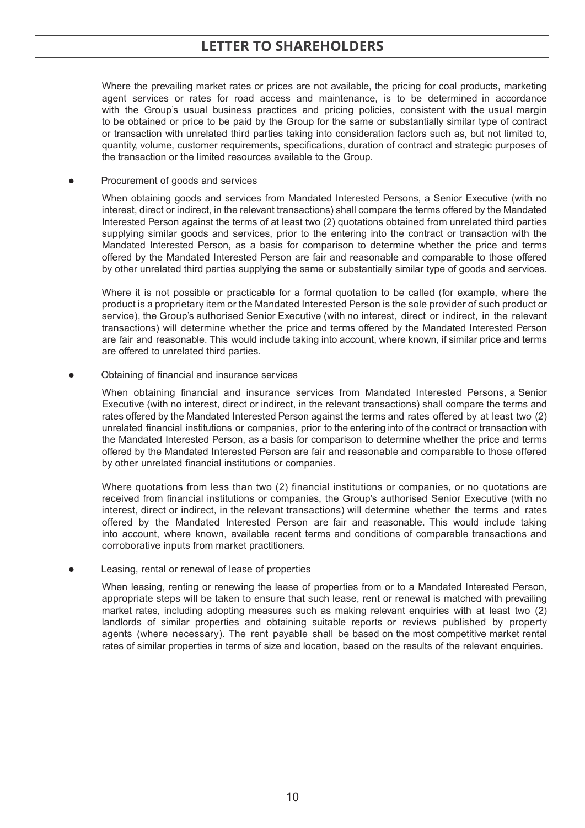Where the prevailing market rates or prices are not available, the pricing for coal products, marketing agent services or rates for road access and maintenance, is to be determined in accordance with the Group's usual business practices and pricing policies, consistent with the usual margin to be obtained or price to be paid by the Group for the same or substantially similar type of contract or transaction with unrelated third parties taking into consideration factors such as, but not limited to, quantity, volume, customer requirements, specifications, duration of contract and strategic purposes of the transaction or the limited resources available to the Group.

Procurement of goods and services

When obtaining goods and services from Mandated Interested Persons, a Senior Executive (with no interest, direct or indirect, in the relevant transactions) shall compare the terms offered by the Mandated Interested Person against the terms of at least two (2) quotations obtained from unrelated third parties supplying similar goods and services, prior to the entering into the contract or transaction with the Mandated Interested Person, as a basis for comparison to determine whether the price and terms offered by the Mandated Interested Person are fair and reasonable and comparable to those offered by other unrelated third parties supplying the same or substantially similar type of goods and services.

Where it is not possible or practicable for a formal quotation to be called (for example, where the product is a proprietary item or the Mandated Interested Person is the sole provider of such product or service), the Group's authorised Senior Executive (with no interest, direct or indirect, in the relevant transactions) will determine whether the price and terms offered by the Mandated Interested Person are fair and reasonable. This would include taking into account, where known, if similar price and terms are offered to unrelated third parties.

Obtaining of financial and insurance services

When obtaining financial and insurance services from Mandated Interested Persons, a Senior Executive (with no interest, direct or indirect, in the relevant transactions) shall compare the terms and rates offered by the Mandated Interested Person against the terms and rates offered by at least two (2) unrelated financial institutions or companies, prior to the entering into of the contract or transaction with the Mandated Interested Person, as a basis for comparison to determine whether the price and terms offered by the Mandated Interested Person are fair and reasonable and comparable to those offered by other unrelated financial institutions or companies.

Where quotations from less than two (2) financial institutions or companies, or no quotations are received from financial institutions or companies, the Group's authorised Senior Executive (with no interest, direct or indirect, in the relevant transactions) will determine whether the terms and rates offered by the Mandated Interested Person are fair and reasonable. This would include taking into account, where known, available recent terms and conditions of comparable transactions and corroborative inputs from market practitioners.

Leasing, rental or renewal of lease of properties

When leasing, renting or renewing the lease of properties from or to a Mandated Interested Person, appropriate steps will be taken to ensure that such lease, rent or renewal is matched with prevailing market rates, including adopting measures such as making relevant enquiries with at least two (2) landlords of similar properties and obtaining suitable reports or reviews published by property agents (where necessary). The rent payable shall be based on the most competitive market rental rates of similar properties in terms of size and location, based on the results of the relevant enquiries.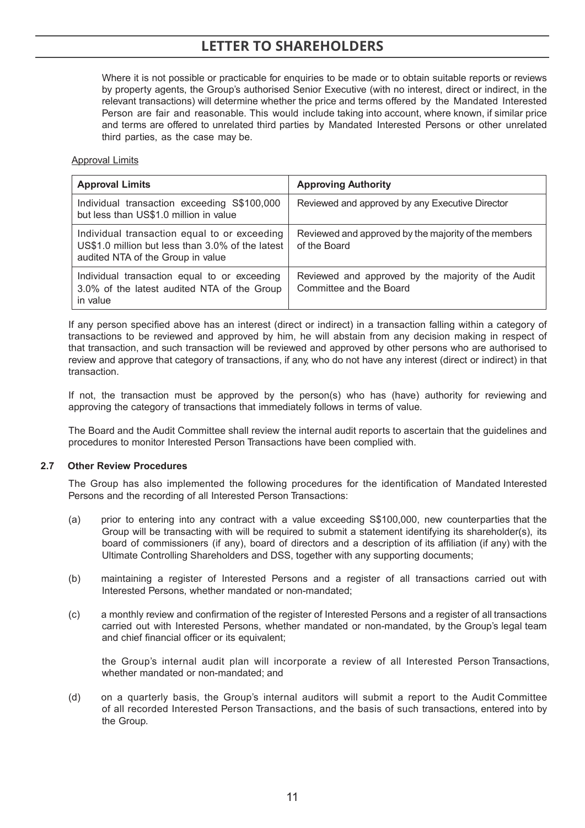Where it is not possible or practicable for enquiries to be made or to obtain suitable reports or reviews by property agents, the Group's authorised Senior Executive (with no interest, direct or indirect, in the relevant transactions) will determine whether the price and terms offered by the Mandated Interested Person are fair and reasonable. This would include taking into account, where known, if similar price and terms are offered to unrelated third parties by Mandated Interested Persons or other unrelated third parties, as the case may be.

### Approval Limits

| <b>Approval Limits</b>                                                                                                                | <b>Approving Authority</b>                                                    |
|---------------------------------------------------------------------------------------------------------------------------------------|-------------------------------------------------------------------------------|
| Individual transaction exceeding S\$100,000<br>but less than US\$1.0 million in value                                                 | Reviewed and approved by any Executive Director                               |
| Individual transaction equal to or exceeding<br>US\$1.0 million but less than 3.0% of the latest<br>audited NTA of the Group in value | Reviewed and approved by the majority of the members<br>of the Board          |
| Individual transaction equal to or exceeding<br>3.0% of the latest audited NTA of the Group<br>in value                               | Reviewed and approved by the majority of the Audit<br>Committee and the Board |

If any person specified above has an interest (direct or indirect) in a transaction falling within a category of transactions to be reviewed and approved by him, he will abstain from any decision making in respect of that transaction, and such transaction will be reviewed and approved by other persons who are authorised to review and approve that category of transactions, if any, who do not have any interest (direct or indirect) in that transaction.

If not, the transaction must be approved by the person(s) who has (have) authority for reviewing and approving the category of transactions that immediately follows in terms of value.

The Board and the Audit Committee shall review the internal audit reports to ascertain that the guidelines and procedures to monitor Interested Person Transactions have been complied with.

#### **2.7 Other Review Procedures**

The Group has also implemented the following procedures for the identification of Mandated Interested Persons and the recording of all Interested Person Transactions:

- (a) prior to entering into any contract with a value exceeding S\$100,000, new counterparties that the Group will be transacting with will be required to submit a statement identifying its shareholder(s), its board of commissioners (if any), board of directors and a description of its affiliation (if any) with the Ultimate Controlling Shareholders and DSS, together with any supporting documents;
- (b) maintaining a register of Interested Persons and a register of all transactions carried out with Interested Persons, whether mandated or non-mandated;
- (c) a monthly review and confirmation of the register of Interested Persons and a register of all transactions carried out with Interested Persons, whether mandated or non-mandated, by the Group's legal team and chief financial officer or its equivalent;

the Group's internal audit plan will incorporate a review of all Interested Person Transactions, whether mandated or non-mandated; and

(d) on a quarterly basis, the Group's internal auditors will submit a report to the Audit Committee of all recorded Interested Person Transactions, and the basis of such transactions, entered into by the Group.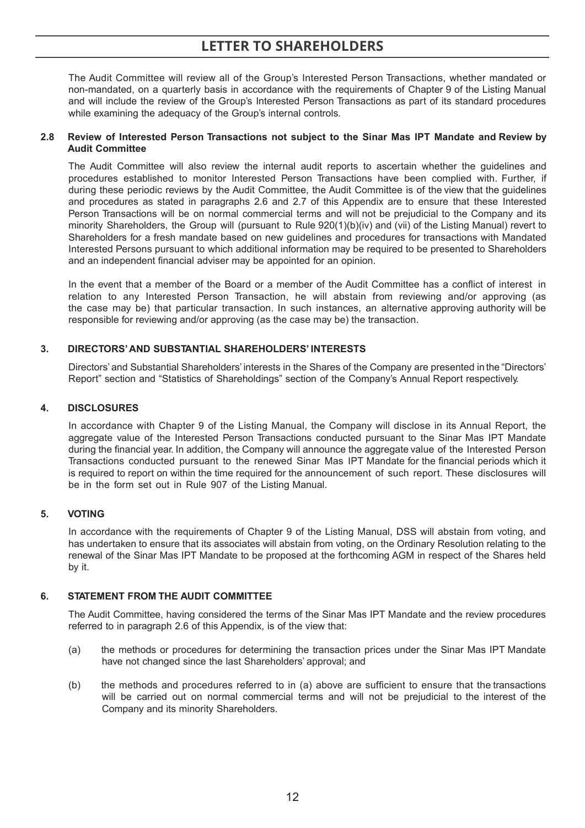The Audit Committee will review all of the Group's Interested Person Transactions, whether mandated or non-mandated, on a quarterly basis in accordance with the requirements of Chapter 9 of the Listing Manual and will include the review of the Group's Interested Person Transactions as part of its standard procedures while examining the adequacy of the Group's internal controls.

### **2.8 Review of Interested Person Transactions not subject to the Sinar Mas IPT Mandate and Review by Audit Committee**

The Audit Committee will also review the internal audit reports to ascertain whether the guidelines and procedures established to monitor Interested Person Transactions have been complied with. Further, if during these periodic reviews by the Audit Committee, the Audit Committee is of the view that the guidelines and procedures as stated in paragraphs 2.6 and 2.7 of this Appendix are to ensure that these Interested Person Transactions will be on normal commercial terms and will not be prejudicial to the Company and its minority Shareholders, the Group will (pursuant to Rule 920(1)(b)(iv) and (vii) of the Listing Manual) revert to Shareholders for a fresh mandate based on new guidelines and procedures for transactions with Mandated Interested Persons pursuant to which additional information may be required to be presented to Shareholders and an independent financial adviser may be appointed for an opinion.

In the event that a member of the Board or a member of the Audit Committee has a conflict of interest in relation to any Interested Person Transaction, he will abstain from reviewing and/or approving (as the case may be) that particular transaction. In such instances, an alternative approving authority will be responsible for reviewing and/or approving (as the case may be) the transaction.

### **3. DIRECTORS' AND SUBSTANTIAL SHAREHOLDERS' INTERESTS**

Directors' and Substantial Shareholders' interests in the Shares of the Company are presented in the "Directors' Report" section and "Statistics of Shareholdings" section of the Company's Annual Report respectively.

### **4. DISCLOSURES**

In accordance with Chapter 9 of the Listing Manual, the Company will disclose in its Annual Report, the aggregate value of the Interested Person Transactions conducted pursuant to the Sinar Mas IPT Mandate during the financial year. In addition, the Company will announce the aggregate value of the Interested Person Transactions conducted pursuant to the renewed Sinar Mas IPT Mandate for the financial periods which it is required to report on within the time required for the announcement of such report. These disclosures will be in the form set out in Rule 907 of the Listing Manual.

### **5. VOTING**

In accordance with the requirements of Chapter 9 of the Listing Manual, DSS will abstain from voting, and has undertaken to ensure that its associates will abstain from voting, on the Ordinary Resolution relating to the renewal of the Sinar Mas IPT Mandate to be proposed at the forthcoming AGM in respect of the Shares held by it.

### **6. STATEMENT FROM THE AUDIT COMMITTEE**

The Audit Committee, having considered the terms of the Sinar Mas IPT Mandate and the review procedures referred to in paragraph 2.6 of this Appendix, is of the view that:

- (a) the methods or procedures for determining the transaction prices under the Sinar Mas IPT Mandate have not changed since the last Shareholders' approval; and
- (b) the methods and procedures referred to in (a) above are sufficient to ensure that the transactions will be carried out on normal commercial terms and will not be prejudicial to the interest of the Company and its minority Shareholders.